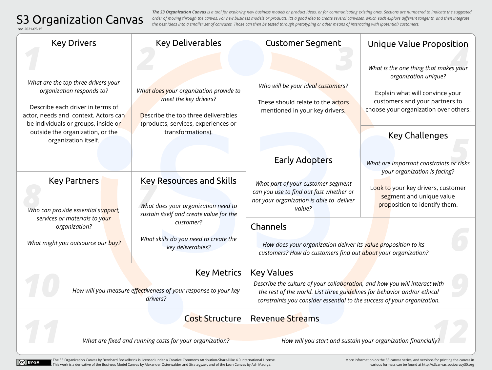## S3 Organization Canvas

CC BY-SA

*The S3 Organization Canvas is a tool for exploring new business models or product ideas, or for communicating existing ones. Sections are numbered to indicate the suggested order of moving through the canvas. For new business models or products, it's a good idea to create several canvases, which each explore different tangents, and then integrate the best ideas into a smaller set of canvases. Those can then be tested through pretotyping or other means of interacting with (potential) customers.*

| rev. 2021-05-15                                                                                                                                                                                                                                 |                                                                                                                                                                    |                                                                                                                                                                                                                                                        |                                                                                                                                                                                                      |
|-------------------------------------------------------------------------------------------------------------------------------------------------------------------------------------------------------------------------------------------------|--------------------------------------------------------------------------------------------------------------------------------------------------------------------|--------------------------------------------------------------------------------------------------------------------------------------------------------------------------------------------------------------------------------------------------------|------------------------------------------------------------------------------------------------------------------------------------------------------------------------------------------------------|
| <b>Key Drivers</b>                                                                                                                                                                                                                              | <b>Key Deliverables</b>                                                                                                                                            | <b>Customer Segment</b>                                                                                                                                                                                                                                | Unique Value Proposition                                                                                                                                                                             |
| What are the top three drivers your<br>organization responds to?<br>Describe each driver in terms of<br>actor, needs and context. Actors can<br>be individuals or groups, inside or<br>outside the organization, or the<br>organization itself. | What does your organization provide to<br>meet the key drivers?<br>Describe the top three deliverables<br>(products, services, experiences or<br>transformations). | Who will be your ideal customers?<br>These should relate to the actors<br>mentioned in your key drivers.                                                                                                                                               | What is the one thing that makes your<br>organization unique?<br>Explain what will convince your<br>customers and your partners to<br>choose your organization over others.<br><b>Key Challenges</b> |
|                                                                                                                                                                                                                                                 |                                                                                                                                                                    | <b>Early Adopters</b>                                                                                                                                                                                                                                  | What are important constraints or risks<br>your organization is facing?                                                                                                                              |
| <b>Key Partners</b><br>Who can provide essential support,                                                                                                                                                                                       | <b>Key Resources and Skills</b><br>What does your organization need to<br>sustain itself and create value for the                                                  | What part of your customer segment<br>can you use to find out fast whether or<br>not your organization is able to deliver<br>value?                                                                                                                    | Look to your key drivers, customer<br>segment and unique value<br>proposition to identify them.                                                                                                      |
| services or materials to your<br>organization?<br>What might you outsource our buy?                                                                                                                                                             | customer?<br>What skills do you need to create the<br>key deliverables?                                                                                            | Channels<br>How does your organization deliver its value proposition to its<br>customers? How do customers find out about your organization?                                                                                                           |                                                                                                                                                                                                      |
| <b>Key Metrics</b><br>How will you measure effectiveness of your response to your key<br>drivers?                                                                                                                                               |                                                                                                                                                                    | <b>Key Values</b><br>Describe the culture of your collaboration, and how you will interact with<br>the rest of the world. List three guidelines for behavior and/or ethical<br>constraints you consider essential to the success of your organization. |                                                                                                                                                                                                      |
|                                                                                                                                                                                                                                                 | <b>Cost Structure</b><br>What are fixed and running costs for your organization?                                                                                   | <b>Revenue Streams</b>                                                                                                                                                                                                                                 | How will you start and sustain your organization financially?                                                                                                                                        |

[The S3 Organization Canvas by Bernhard Bockelbrink is licensed under a Creative Commons Attribution-ShareAlike 4.0 International License.](https://creativecommons.org/licenses/by-sa/4.0/)   $\blacksquare$  This work is a derivative of the Business Model Canvas by Alexander Osterwalder and Strategyzer, and of the Lean Canvas by Ash Maurya.

[More information on the S3 canvas series, and versions for printing the canvas in](http://s3canvas.sociocracy30.org)  various formats can be found at http://s3canvas.sociocracy30.org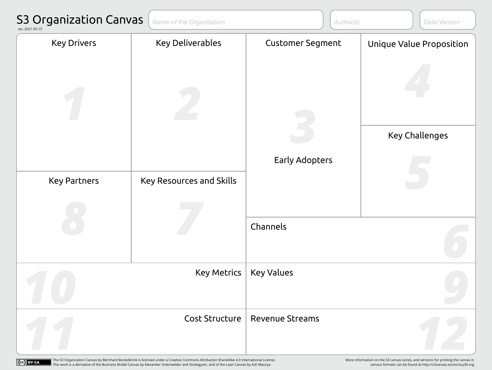| <b>S3 Organization Canvas</b><br>rev. 2021-05-15 | Name of the Organization | Author(s)<br>Date/Version |                          |
|--------------------------------------------------|--------------------------|---------------------------|--------------------------|
| <b>Key Drivers</b>                               | <b>Key Deliverables</b>  | <b>Customer Segment</b>   | Unique Value Proposition |
|                                                  |                          |                           |                          |
|                                                  |                          |                           | <b>Key Challenges</b>    |
|                                                  |                          | <b>Early Adopters</b>     |                          |
| <b>Key Partners</b>                              | Key Resources and Skills |                           |                          |
|                                                  |                          |                           |                          |
|                                                  |                          | Channels                  |                          |
| <b>Key Metrics</b>                               |                          | <b>Key Values</b>         |                          |
| <b>Cost Structure</b>                            |                          | <b>Revenue Streams</b>    |                          |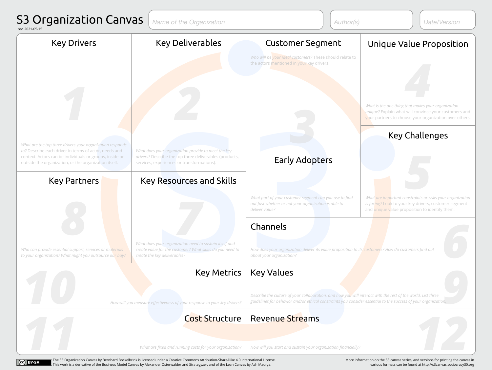

[The S3 Organization Canvas by Bernhard Bockelbrink is licensed under a Creative Commons Attribution-ShareAlike 4.0 International License.](https://creativecommons.org/licenses/by-sa/4.0/)  This work is a derivative of the Business Model Canvas by Alexander Osterwalder and Strategyzer, and of the Lean Canvas by Ash Maurya.

[More information on the S3 canvas series, and versions for printing the canvas in](http://s3canvas.sociocracy30.org)  various formats can be found at http://s3canvas.sociocracy30.org